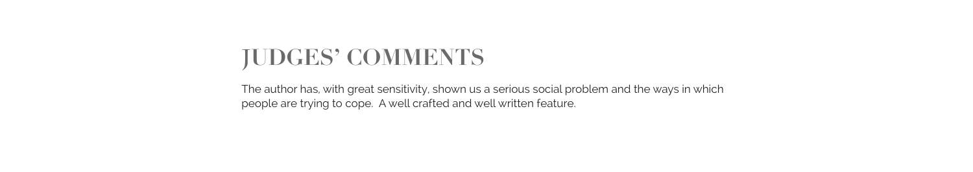## **JUDGES' COMMENTS**

The author has, with great sensitivity, shown us a serious social problem and the ways in which people are trying to cope. A well crafted and well written feature.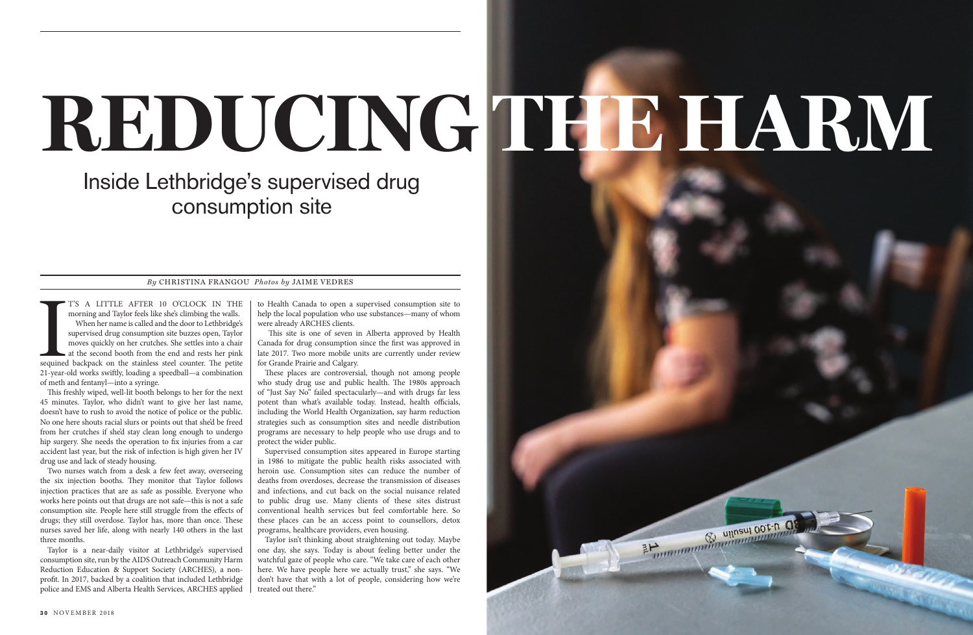## **REDUCING THE HARM**

BE DESCRIPTION OF THE OCEAN OF THE OF

## Inside Lethbridge's supervised drug consumption site

## *By* CHRISTINA FRANGOU *Photos by* JAIME VEDRES

T'S A LITTLE AFTER 10 O'CLOCK IN THE<br>morning and Taylor feels like she's climbing the walls.<br>When her name is called and the door to Lethbridge's<br>supervised drug consumption site buzzes open, Taylor<br>moves quickly on her cr T'S A LITTLE AFTER 10 O'CLOCK IN THE morning and Taylor feels like she's climbing the walls. When her name is called and the door to Lethbridge's supervised drug consumption site buzzes open, Taylor moves quickly on her crutches. She settles into a chair at the second booth from the end and rests her pink 21-year-old works swiftly, loading a speedball—a combination of meth and fentanyl—into a syringe.

This freshly wiped, well-lit booth belongs to her for the next 45 minutes. Taylor, who didn't want to give her last name, doesn't have to rush to avoid the notice of police or the public. No one here shouts racial slurs or points out that she'd be freed from her crutches if she'd stay clean long enough to undergo hip surgery. She needs the operation to fix injuries from a car accident last year, but the risk of infection is high given her IV drug use and lack of steady housing.

Two nurses watch from a desk a few feet away, overseeing the six injection booths. They monitor that Taylor follows injection practices that are as safe as possible. Everyone who works here points out that drugs are not safe—this is not a safe consumption site. People here still struggle from the effects of drugs; they still overdose. Taylor has, more than once. These nurses saved her life, along with nearly 140 others in the last three months.

Taylor is a near-daily visitor at Lethbridge's supervised consumption site, run by the AIDS Outreach Community Harm Reduction Education & Support Society (ARCHES), a nonprofit. In 2017, backed by a coalition that included Lethbridge police and EMS and Alberta Health Services, ARCHES applied to Health Canada to open a supervised consumption site to help the local population who use substances—many of whom were already ARCHES clients.

 This site is one of seven in Alberta approved by Health Canada for drug consumption since the first was approved in late 2017. Two more mobile units are currently under review for Grande Prairie and Calgary.

These places are controversial, though not among people who study drug use and public health. The 1980s approach of "Just Say No" failed spectacularly—and with drugs far less potent than what's available today. Instead, health officials, including the World Health Organization, say harm reduction strategies such as consumption sites and needle distribution programs are necessary to help people who use drugs and to protect the wider public.

Supervised consumption sites appeared in Europe starting in 1986 to mitigate the public health risks associated with heroin use. Consumption sites can reduce the number of deaths from overdoses, decrease the transmission of diseases and infections, and cut back on the social nuisance related to public drug use. Many clients of these sites distrust conventional health services but feel comfortable here. So these places can be an access point to counsellors, detox programs, healthcare providers, even housing.

Taylor isn't thinking about straightening out today. Maybe one day, she says. Today is about feeling better under the watchful gaze of people who care. "We take care of each other here. We have people here we actually trust," she says. "We don't have that with a lot of people, considering how we're treated out there."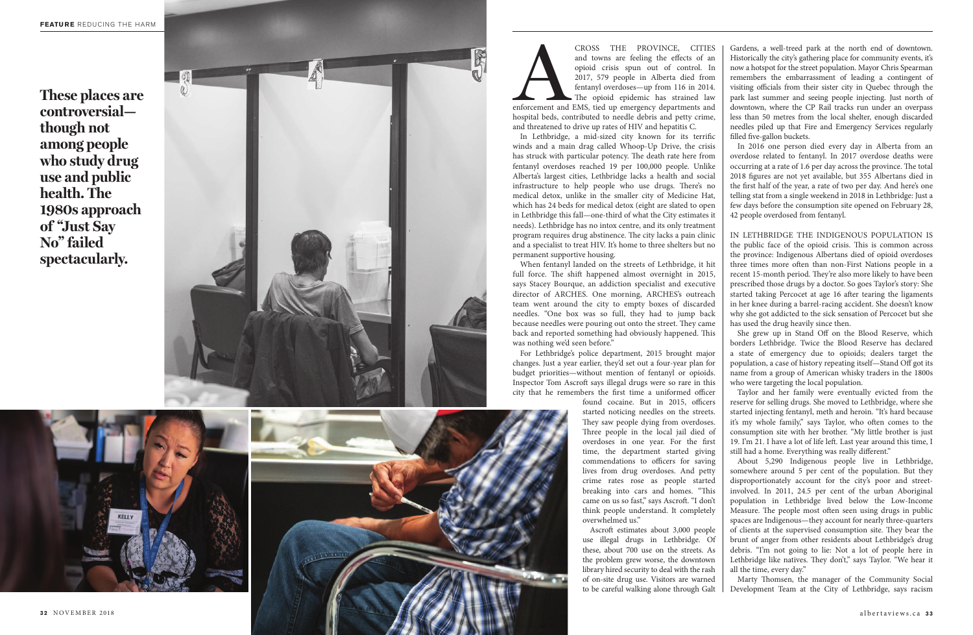**3 2** NOVEMBER 2018 albertaviews.ca **3 3**

CROSS THE PROVINCE, CITIES<br>and towns are feeling the effects of an<br>opioid crisis spun out of control. In<br>2017, 579 people in Alberta died from<br>fentanyl overdoses—up from 116 in 2014.<br>The opioid epidemic has strained law<br>en and towns are feeling the effects of an opioid crisis spun out of control. In 2017, 579 people in Alberta died from fentanyl overdoses—up from 116 in 2014. The opioid epidemic has strained law enforcement and EMS, tied up emergency departments and hospital beds, contributed to needle debris and petty crime, and threatened to drive up rates of HIV and hepatitis C.

In Lethbridge, a mid-sized city known for its terrific winds and a main drag called Whoop-Up Drive, the crisis has struck with particular potency. The death rate here from fentanyl overdoses reached 19 per 100,000 people. Unlike Alberta's largest cities, Lethbridge lacks a health and social infrastructure to help people who use drugs. There's no medical detox, unlike in the smaller city of Medicine Hat, which has 24 beds for medical detox (eight are slated to open in Lethbridge this fall—one-third of what the City estimates it needs). Lethbridge has no intox centre, and its only treatment program requires drug abstinence. The city lacks a pain clinic and a specialist to treat HIV. It's home to three shelters but no permanent supportive housing.

When fentanyl landed on the streets of Lethbridge, it hit full force. The shift happened almost overnight in 2015, says Stacey Bourque, an addiction specialist and executive director of ARCHES. One morning, ARCHES's outreach team went around the city to empty boxes of discarded needles. "One box was so full, they had to jump back because needles were pouring out onto the street. They came back and reported something had obviously happened. This was nothing we'd seen before."

For Lethbridge's police department, 2015 brought major changes. Just a year earlier, they'd set out a four-year plan for budget priorities—without mention of fentanyl or opioids. Inspector Tom Ascroft says illegal drugs were so rare in this city that he remembers the first time a uniformed officer

> found cocaine. But in 2015, officers started noticing needles on the streets. They saw people dying from overdoses. Three people in the local jail died of overdoses in one year. For the first time, the department started giving commendations to officers for saving lives from drug overdoses. And petty crime rates rose as people started breaking into cars and homes. "This came on us so fast," says Ascroft. "I don't think people understand. It completely overwhelmed us."

> Ascroft estimates about 3,000 people use illegal drugs in Lethbridge. Of these, about 700 use on the streets. As the problem grew worse, the downtown library hired security to deal with the rash of on-site drug use. Visitors are warned to be careful walking alone through Galt



Gardens, a well-treed park at the north end of downtown. Historically the city's gathering place for community events, it's now a hotspot for the street population. Mayor Chris Spearman remembers the embarrassment of leading a contingent of visiting officials from their sister city in Quebec through the park last summer and seeing people injecting. Just north of downtown, where the CP Rail tracks run under an overpass less than 50 metres from the local shelter, enough discarded needles piled up that Fire and Emergency Services regularly filled five-gallon buckets.

In 2016 one person died every day in Alberta from an overdose related to fentanyl. In 2017 overdose deaths were occurring at a rate of 1.6 per day across the province. The total 2018 figures are not yet available, but 355 Albertans died in the first half of the year, a rate of two per day. And here's one telling stat from a single weekend in 2018 in Lethbridge: Just a few days before the consumption site opened on February 28, 42 people overdosed from fentanyl.

IN LETHBRIDGE THE INDIGENOUS POPULATION IS the public face of the opioid crisis. This is common across the province: Indigenous Albertans died of opioid overdoses three times more often than non-First Nations people in a recent 15-month period. They're also more likely to have been prescribed those drugs by a doctor. So goes Taylor's story: She started taking Percocet at age 16 after tearing the ligaments in her knee during a barrel-racing accident. She doesn't know why she got addicted to the sick sensation of Percocet but she has used the drug heavily since then.

She grew up in Stand Off on the Blood Reserve, which borders Lethbridge. Twice the Blood Reserve has declared a state of emergency due to opioids; dealers target the population, a case of history repeating itself—Stand Off got its name from a group of American whisky traders in the 1800s who were targeting the local population.

Taylor and her family were eventually evicted from the reserve for selling drugs. She moved to Lethbridge, where she started injecting fentanyl, meth and heroin. "It's hard because it's my whole family," says Taylor, who often comes to the consumption site with her brother. "My little brother is just 19. I'm 21. I have a lot of life left. Last year around this time, I still had a home. Everything was really different."

About 5,290 Indigenous people live in Lethbridge, somewhere around 5 per cent of the population. But they disproportionately account for the city's poor and streetinvolved. In 2011, 24.5 per cent of the urban Aboriginal population in Lethbridge lived below the Low-Income Measure. The people most often seen using drugs in public spaces are Indigenous—they account for nearly three-quarters of clients at the supervised consumption site. They bear the brunt of anger from other residents about Lethbridge's drug debris. "I'm not going to lie: Not a lot of people here in Lethbridge like natives. They don't," says Taylor. "We hear it all the time, every day."

Marty Thomsen, the manager of the Community Social Development Team at the City of Lethbridge, says racism

**These places are controversial though not among people who study drug use and public health. The 1980s approach of "Just Say No" failed spectacularly.** 

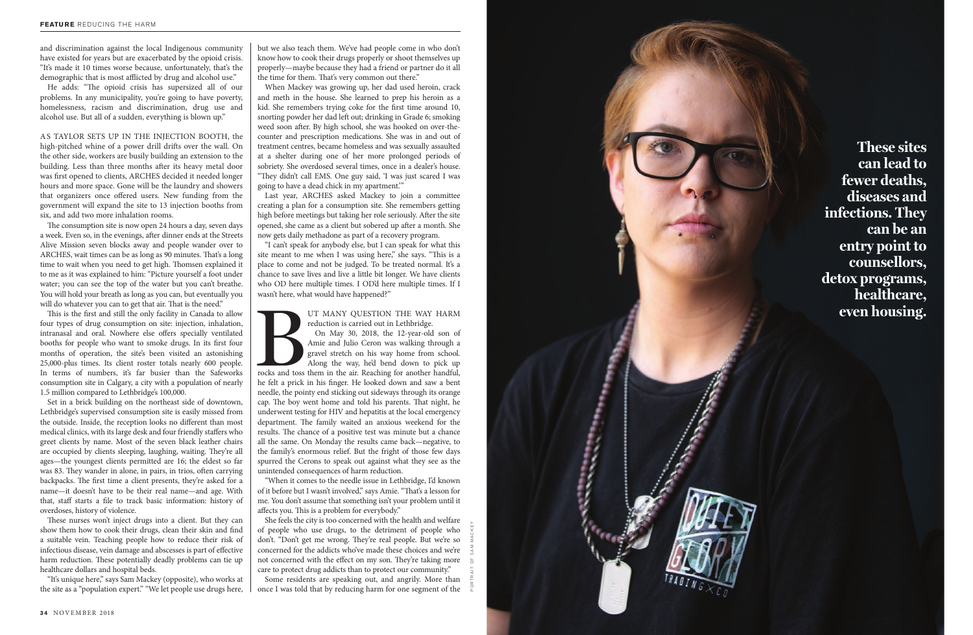and discrimination against the local Indigenous community have existed for years but are exacerbated by the opioid crisis. "It's made it 10 times worse because, unfortunately, that's the demographic that is most afflicted by drug and alcohol use."

He adds: "The opioid crisis has supersized all of our problems. In any municipality, you're going to have poverty, homelessness, racism and discrimination, drug use and alcohol use. But all of a sudden, everything is blown up."

AS TAYLOR SETS UP IN THE INJECTION BOOTH, the high-pitched whine of a power drill drifts over the wall. On the other side, workers are busily building an extension to the building. Less than three months after its heavy metal door was first opened to clients, ARCHES decided it needed longer hours and more space. Gone will be the laundry and showers that organizers once offered users. New funding from the government will expand the site to 13 injection booths from six, and add two more inhalation rooms.

The consumption site is now open 24 hours a day, seven days a week. Even so, in the evenings, after dinner ends at the Streets Alive Mission seven blocks away and people wander over to ARCHES, wait times can be as long as 90 minutes. That's a long time to wait when you need to get high. Thomsen explained it to me as it was explained to him: "Picture yourself a foot under water; you can see the top of the water but you can't breathe. You will hold your breath as long as you can, but eventually you will do whatever you can to get that air. That is the need."

This is the first and still the only facility in Canada to allow four types of drug consumption on site: injection, inhalation, intranasal and oral. Nowhere else offers specially ventilated booths for people who want to smoke drugs. In its first four months of operation, the site's been visited an astonishing 25,000-plus times. Its client roster totals nearly 600 people. In terms of numbers, it's far busier than the Safeworks consumption site in Calgary, a city with a population of nearly 1.5 million compared to Lethbridge's 100,000.

Set in a brick building on the northeast side of downtown, Lethbridge's supervised consumption site is easily missed from the outside. Inside, the reception looks no different than most medical clinics, with its large desk and four friendly staffers who greet clients by name. Most of the seven black leather chairs are occupied by clients sleeping, laughing, waiting. They're all ages—the youngest clients permitted are 16; the eldest so far was 83. They wander in alone, in pairs, in trios, often carrying backpacks. The first time a client presents, they're asked for a name—it doesn't have to be their real name—and age. With that, staff starts a file to track basic information: history of overdoses, history of violence.

UT MANY QUESTION THE WAY HARM reduction is carried out in Lethbridge.<br>On May 30, 2018, the 12-year-old son of Amie and Julio Ceron was walking through a gravel stretch on his way home from school.<br>Along the way, he'd bend On May 30, 2018, the 12-year-old son of Amie and Julio Ceron was walking through a gravel stretch on his way home from school. Along the way, he'd bend down to pick up

These nurses won't inject drugs into a client. But they can show them how to cook their drugs, clean their skin and find a suitable vein. Teaching people how to reduce their risk of infectious disease, vein damage and abscesses is part of effective harm reduction. These potentially deadly problems can tie up healthcare dollars and hospital beds.

"It's unique here," says Sam Mackey (opposite), who works at the site as a "population expert." "We let people use drugs here,



but we also teach them. We've had people come in who don't know how to cook their drugs properly or shoot themselves up properly—maybe because they had a friend or partner do it all the time for them. That's very common out there."

When Mackey was growing up, her dad used heroin, crack and meth in the house. She learned to prep his heroin as a kid. She remembers trying coke for the first time around 10, snorting powder her dad left out; drinking in Grade 6; smoking weed soon after. By high school, she was hooked on over-thecounter and prescription medications. She was in and out of treatment centres, became homeless and was sexually assaulted at a shelter during one of her more prolonged periods of sobriety. She overdosed several times, once in a dealer's house. "They didn't call EMS. One guy said, 'I was just scared I was going to have a dead chick in my apartment.' "

Last year, ARCHES asked Mackey to join a committee creating a plan for a consumption site. She remembers getting high before meetings but taking her role seriously. After the site opened, she came as a client but sobered up after a month. She now gets daily methadone as part of a recovery program.

"I can't speak for anybody else, but I can speak for what this site meant to me when I was using here," she says. "This is a place to come and not be judged. To be treated normal. It's a chance to save lives and live a little bit longer. We have clients who OD here multiple times. I OD'd here multiple times. If I wasn't here, what would have happened?"

reduction is carried out in Lethbridge.

he felt a prick in his finger. He looked down and saw a bent needle, the pointy end sticking out sideways through its orange cap. The boy went home and told his parents. That night, he underwent testing for HIV and hepatitis at the local emergency department. The family waited an anxious weekend for the results. The chance of a positive test was minute but a chance all the same. On Monday the results came back—negative, to the family's enormous relief. But the fright of those few days spurred the Cerons to speak out against what they see as the unintended consequences of harm reduction.

"When it comes to the needle issue in Lethbridge, I'd known of it before but I wasn't involved," says Amie. "That's a lesson for me. You don't assume that something isn't your problem until it affects you. This is a problem for everybody."

She feels the city is too concerned with the health and welfare of people who use drugs, to the detriment of people who don't. "Don't get me wrong. They're real people. But we're so concerned for the addicts who've made these choices and we're not concerned with the effect on my son. They're taking more care to protect drug addicts than to protect our community."

Some residents are speaking out, and angrily. More than once I was told that by reducing harm for one segment of the

**These sites can lead to fewer deaths, diseases and infections. They can be an entry point to counsellors, detox programs, healthcare, even housing.**